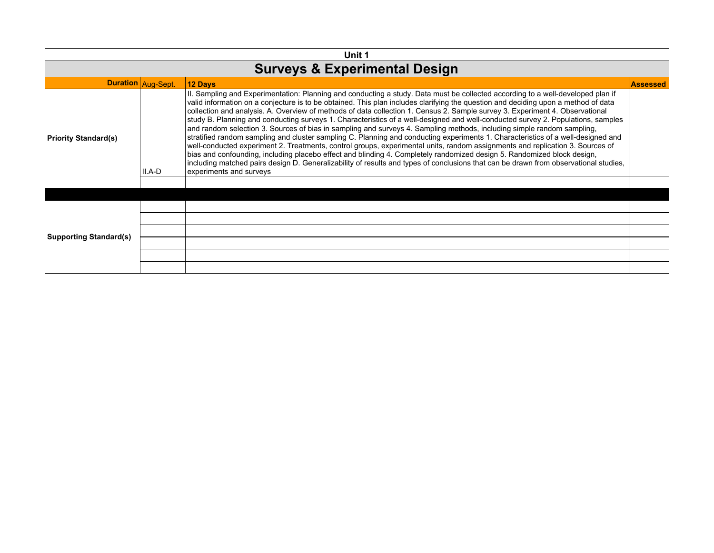| Unit 1                                   |                    |                                                                                                                                                                                                                                                                                                                                                                                                                                                                                                                                                                                                                                                                                                                                                                                                                                                                                                                                                                                                                                                                                                                                                                                                                                        |                 |  |
|------------------------------------------|--------------------|----------------------------------------------------------------------------------------------------------------------------------------------------------------------------------------------------------------------------------------------------------------------------------------------------------------------------------------------------------------------------------------------------------------------------------------------------------------------------------------------------------------------------------------------------------------------------------------------------------------------------------------------------------------------------------------------------------------------------------------------------------------------------------------------------------------------------------------------------------------------------------------------------------------------------------------------------------------------------------------------------------------------------------------------------------------------------------------------------------------------------------------------------------------------------------------------------------------------------------------|-----------------|--|
| <b>Surveys &amp; Experimental Design</b> |                    |                                                                                                                                                                                                                                                                                                                                                                                                                                                                                                                                                                                                                                                                                                                                                                                                                                                                                                                                                                                                                                                                                                                                                                                                                                        |                 |  |
|                                          | Duration Aug-Sept. | 12 Days                                                                                                                                                                                                                                                                                                                                                                                                                                                                                                                                                                                                                                                                                                                                                                                                                                                                                                                                                                                                                                                                                                                                                                                                                                | <b>Assessed</b> |  |
| Priority Standard(s)                     | II.A-D             | II. Sampling and Experimentation: Planning and conducting a study. Data must be collected according to a well-developed plan if<br>valid information on a conjecture is to be obtained. This plan includes clarifying the question and deciding upon a method of data<br>collection and analysis. A. Overview of methods of data collection 1. Census 2. Sample survey 3. Experiment 4. Observational<br>study B. Planning and conducting surveys 1. Characteristics of a well-designed and well-conducted survey 2. Populations, samples<br>and random selection 3. Sources of bias in sampling and surveys 4. Sampling methods, including simple random sampling,<br>stratified random sampling and cluster sampling C. Planning and conducting experiments 1. Characteristics of a well-designed and<br>well-conducted experiment 2. Treatments, control groups, experimental units, random assignments and replication 3. Sources of<br>bias and confounding, including placebo effect and blinding 4. Completely randomized design 5. Randomized block design,<br>including matched pairs design D. Generalizability of results and types of conclusions that can be drawn from observational studies,<br>experiments and surveys |                 |  |
|                                          |                    |                                                                                                                                                                                                                                                                                                                                                                                                                                                                                                                                                                                                                                                                                                                                                                                                                                                                                                                                                                                                                                                                                                                                                                                                                                        |                 |  |
|                                          |                    |                                                                                                                                                                                                                                                                                                                                                                                                                                                                                                                                                                                                                                                                                                                                                                                                                                                                                                                                                                                                                                                                                                                                                                                                                                        |                 |  |
|                                          |                    |                                                                                                                                                                                                                                                                                                                                                                                                                                                                                                                                                                                                                                                                                                                                                                                                                                                                                                                                                                                                                                                                                                                                                                                                                                        |                 |  |
| <b>Supporting Standard(s)</b>            |                    |                                                                                                                                                                                                                                                                                                                                                                                                                                                                                                                                                                                                                                                                                                                                                                                                                                                                                                                                                                                                                                                                                                                                                                                                                                        |                 |  |
|                                          |                    |                                                                                                                                                                                                                                                                                                                                                                                                                                                                                                                                                                                                                                                                                                                                                                                                                                                                                                                                                                                                                                                                                                                                                                                                                                        |                 |  |
|                                          |                    |                                                                                                                                                                                                                                                                                                                                                                                                                                                                                                                                                                                                                                                                                                                                                                                                                                                                                                                                                                                                                                                                                                                                                                                                                                        |                 |  |
|                                          |                    |                                                                                                                                                                                                                                                                                                                                                                                                                                                                                                                                                                                                                                                                                                                                                                                                                                                                                                                                                                                                                                                                                                                                                                                                                                        |                 |  |
|                                          |                    |                                                                                                                                                                                                                                                                                                                                                                                                                                                                                                                                                                                                                                                                                                                                                                                                                                                                                                                                                                                                                                                                                                                                                                                                                                        |                 |  |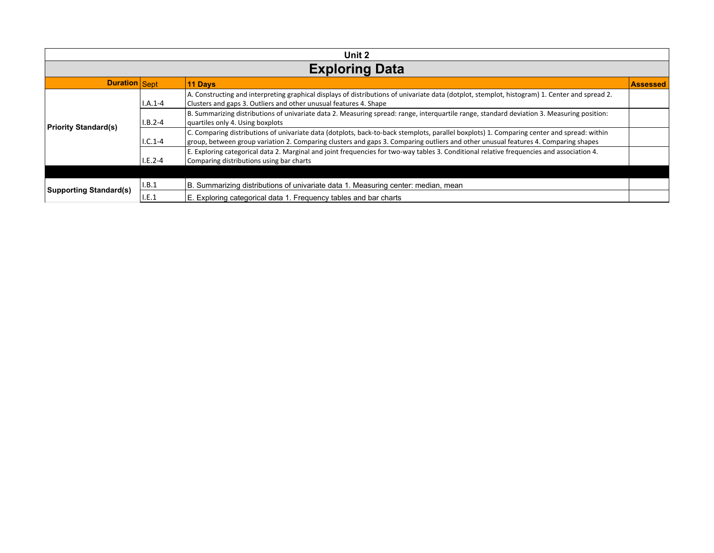| Unit 2                        |           |                                                                                                                                                                                                                                                                                  |                 |  |
|-------------------------------|-----------|----------------------------------------------------------------------------------------------------------------------------------------------------------------------------------------------------------------------------------------------------------------------------------|-----------------|--|
|                               |           | <b>Exploring Data</b>                                                                                                                                                                                                                                                            |                 |  |
| <b>Duration</b> Sept          |           | <b>11 Days</b>                                                                                                                                                                                                                                                                   | <b>Assessed</b> |  |
|                               | $I.A.1-4$ | A. Constructing and interpreting graphical displays of distributions of univariate data (dotplot, stemplot, histogram) 1. Center and spread 2.<br>Clusters and gaps 3. Outliers and other unusual features 4. Shape                                                              |                 |  |
| <b>Priority Standard(s)</b>   | $I.B.2-4$ | B. Summarizing distributions of univariate data 2. Measuring spread: range, interquartile range, standard deviation 3. Measuring position:<br>quartiles only 4. Using boxplots                                                                                                   |                 |  |
|                               | $1.C.1-4$ | C. Comparing distributions of univariate data (dotplots, back-to-back stemplots, parallel boxplots) 1. Comparing center and spread: within<br>group, between group variation 2. Comparing clusters and gaps 3. Comparing outliers and other unusual features 4. Comparing shapes |                 |  |
|                               | $I.E.2-4$ | E. Exploring categorical data 2. Marginal and joint frequencies for two-way tables 3. Conditional relative frequencies and association 4.<br>Comparing distributions using bar charts                                                                                            |                 |  |
|                               |           |                                                                                                                                                                                                                                                                                  |                 |  |
| <b>Supporting Standard(s)</b> | I.B.1     | B. Summarizing distributions of univariate data 1. Measuring center: median, mean                                                                                                                                                                                                |                 |  |
|                               | I.E.1     | E. Exploring categorical data 1. Frequency tables and bar charts                                                                                                                                                                                                                 |                 |  |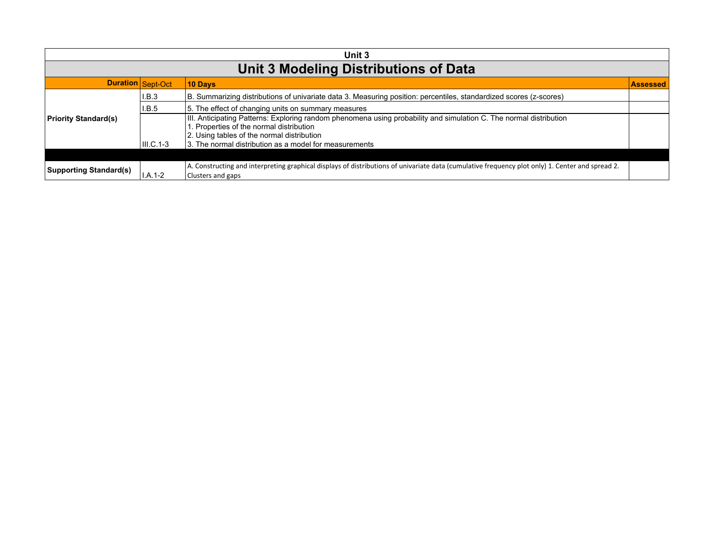|                               | Unit 3            |                                                                                                                                                                                                                                                                        |                 |  |
|-------------------------------|-------------------|------------------------------------------------------------------------------------------------------------------------------------------------------------------------------------------------------------------------------------------------------------------------|-----------------|--|
|                               |                   | <b>Unit 3 Modeling Distributions of Data</b>                                                                                                                                                                                                                           |                 |  |
|                               | Duration Sept-Oct | 10 Days                                                                                                                                                                                                                                                                | <b>Assessed</b> |  |
|                               | I.B.3             | B. Summarizing distributions of univariate data 3. Measuring position: percentiles, standardized scores (z-scores)                                                                                                                                                     |                 |  |
|                               | I.B.5             | 5. The effect of changing units on summary measures                                                                                                                                                                                                                    |                 |  |
| <b>Priority Standard(s)</b>   | III.C.1-3         | III. Anticipating Patterns: Exploring random phenomena using probability and simulation C. The normal distribution<br>1. Properties of the normal distribution<br>2. Using tables of the normal distribution<br>3. The normal distribution as a model for measurements |                 |  |
|                               |                   |                                                                                                                                                                                                                                                                        |                 |  |
| <b>Supporting Standard(s)</b> | $I.A.1-2$         | A. Constructing and interpreting graphical displays of distributions of univariate data (cumulative frequency plot only) 1. Center and spread 2.<br>Clusters and gaps                                                                                                  |                 |  |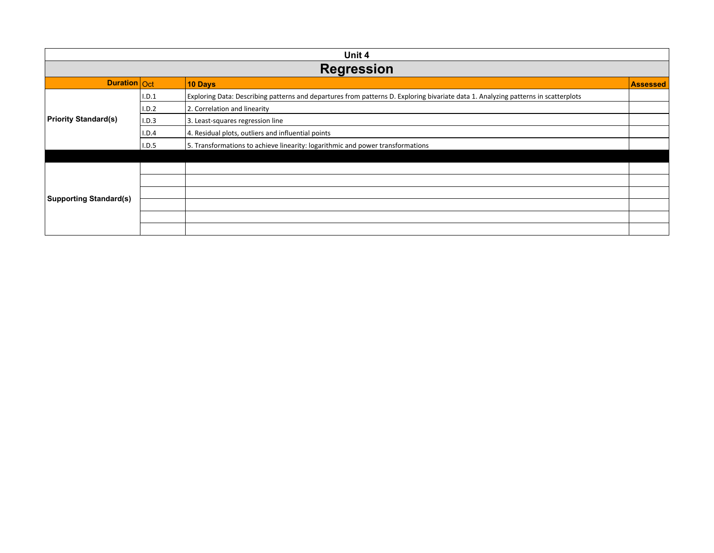| Unit 4                        |                   |                                                                                                                                    |                 |  |  |
|-------------------------------|-------------------|------------------------------------------------------------------------------------------------------------------------------------|-----------------|--|--|
|                               | <b>Regression</b> |                                                                                                                                    |                 |  |  |
| Duration Oct                  |                   | 10 Days                                                                                                                            | <b>Assessed</b> |  |  |
|                               | I.D.1             | Exploring Data: Describing patterns and departures from patterns D. Exploring bivariate data 1. Analyzing patterns in scatterplots |                 |  |  |
|                               | I.D.2             | 2. Correlation and linearity                                                                                                       |                 |  |  |
| <b>Priority Standard(s)</b>   | I.D.3             | 3. Least-squares regression line                                                                                                   |                 |  |  |
|                               | I.D.4             | 4. Residual plots, outliers and influential points                                                                                 |                 |  |  |
|                               | I.D.5             | 5. Transformations to achieve linearity: logarithmic and power transformations                                                     |                 |  |  |
|                               |                   |                                                                                                                                    |                 |  |  |
|                               |                   |                                                                                                                                    |                 |  |  |
|                               |                   |                                                                                                                                    |                 |  |  |
| <b>Supporting Standard(s)</b> |                   |                                                                                                                                    |                 |  |  |
|                               |                   |                                                                                                                                    |                 |  |  |
|                               |                   |                                                                                                                                    |                 |  |  |
|                               |                   |                                                                                                                                    |                 |  |  |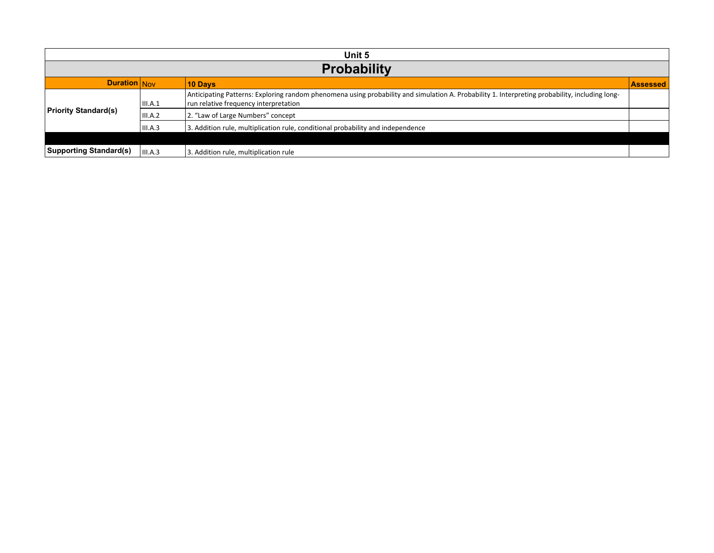|                               | Unit 5         |                                                                                                                                                                                         |                 |  |  |  |
|-------------------------------|----------------|-----------------------------------------------------------------------------------------------------------------------------------------------------------------------------------------|-----------------|--|--|--|
|                               |                | <b>Probability</b>                                                                                                                                                                      |                 |  |  |  |
| Duration Nov                  |                | <b>10 Days</b>                                                                                                                                                                          | <b>Assessed</b> |  |  |  |
|                               | III.A.1        | Anticipating Patterns: Exploring random phenomena using probability and simulation A. Probability 1. Interpreting probability, including long-<br>run relative frequency interpretation |                 |  |  |  |
| <b>Priority Standard(s)</b>   | <b>III.A.2</b> | 2. "Law of Large Numbers" concept                                                                                                                                                       |                 |  |  |  |
|                               | III.A.3        | 3. Addition rule, multiplication rule, conditional probability and independence                                                                                                         |                 |  |  |  |
|                               |                |                                                                                                                                                                                         |                 |  |  |  |
| <b>Supporting Standard(s)</b> | III.A.3        | 3. Addition rule, multiplication rule                                                                                                                                                   |                 |  |  |  |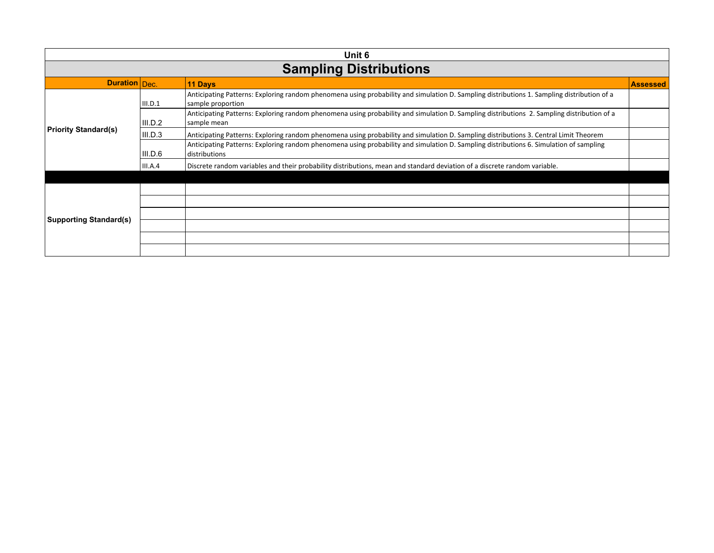| Unit 6                        |         |                                                                                                                                                                 |                 |  |
|-------------------------------|---------|-----------------------------------------------------------------------------------------------------------------------------------------------------------------|-----------------|--|
|                               |         | <b>Sampling Distributions</b>                                                                                                                                   |                 |  |
| <b>Duration</b> Dec.          |         | 11 Days                                                                                                                                                         | <b>Assessed</b> |  |
|                               | III.D.1 | Anticipating Patterns: Exploring random phenomena using probability and simulation D. Sampling distributions 1. Sampling distribution of a<br>sample proportion |                 |  |
|                               | III.D.2 | Anticipating Patterns: Exploring random phenomena using probability and simulation D. Sampling distributions 2. Sampling distribution of a<br>sample mean       |                 |  |
| Priority Standard(s)          | III.D.3 | Anticipating Patterns: Exploring random phenomena using probability and simulation D. Sampling distributions 3. Central Limit Theorem                           |                 |  |
|                               | III.D.6 | Anticipating Patterns: Exploring random phenomena using probability and simulation D. Sampling distributions 6. Simulation of sampling<br>distributions         |                 |  |
|                               | III.A.4 | Discrete random variables and their probability distributions, mean and standard deviation of a discrete random variable.                                       |                 |  |
|                               |         |                                                                                                                                                                 |                 |  |
|                               |         |                                                                                                                                                                 |                 |  |
|                               |         |                                                                                                                                                                 |                 |  |
| <b>Supporting Standard(s)</b> |         |                                                                                                                                                                 |                 |  |
|                               |         |                                                                                                                                                                 |                 |  |
|                               |         |                                                                                                                                                                 |                 |  |
|                               |         |                                                                                                                                                                 |                 |  |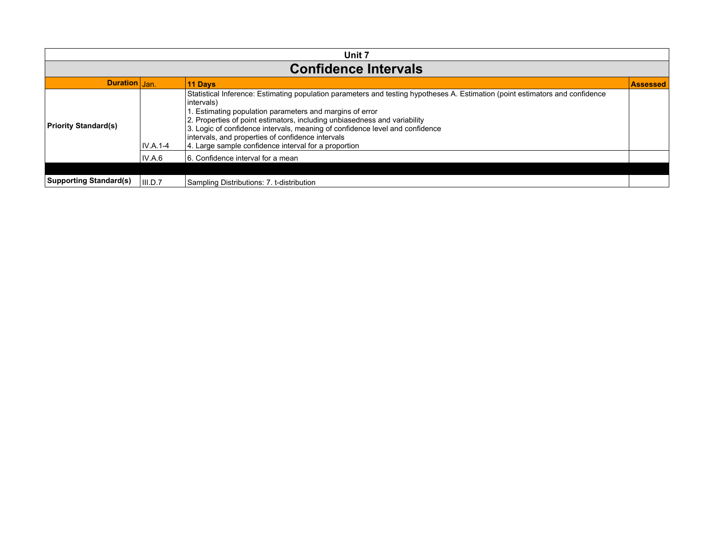| Unit 7                        |            |                                                                                                                                                                                                                                                                                                                                                                                                                                                                                   |          |
|-------------------------------|------------|-----------------------------------------------------------------------------------------------------------------------------------------------------------------------------------------------------------------------------------------------------------------------------------------------------------------------------------------------------------------------------------------------------------------------------------------------------------------------------------|----------|
|                               |            | <b>Confidence Intervals</b>                                                                                                                                                                                                                                                                                                                                                                                                                                                       |          |
| Duration Jan.                 |            | <b>11 Days</b>                                                                                                                                                                                                                                                                                                                                                                                                                                                                    | Assessed |
| <b>Priority Standard(s)</b>   | $IV.A.1-4$ | Statistical Inference: Estimating population parameters and testing hypotheses A. Estimation (point estimators and confidence<br>intervals)<br>1. Estimating population parameters and margins of error<br>2. Properties of point estimators, including unbiasedness and variability<br>3. Logic of confidence intervals, meaning of confidence level and confidence<br>intervals, and properties of confidence intervals<br>4. Large sample confidence interval for a proportion |          |
|                               | IV.A.6     | 6. Confidence interval for a mean                                                                                                                                                                                                                                                                                                                                                                                                                                                 |          |
|                               |            |                                                                                                                                                                                                                                                                                                                                                                                                                                                                                   |          |
| <b>Supporting Standard(s)</b> | III.D.7    | Sampling Distributions: 7. t-distribution                                                                                                                                                                                                                                                                                                                                                                                                                                         |          |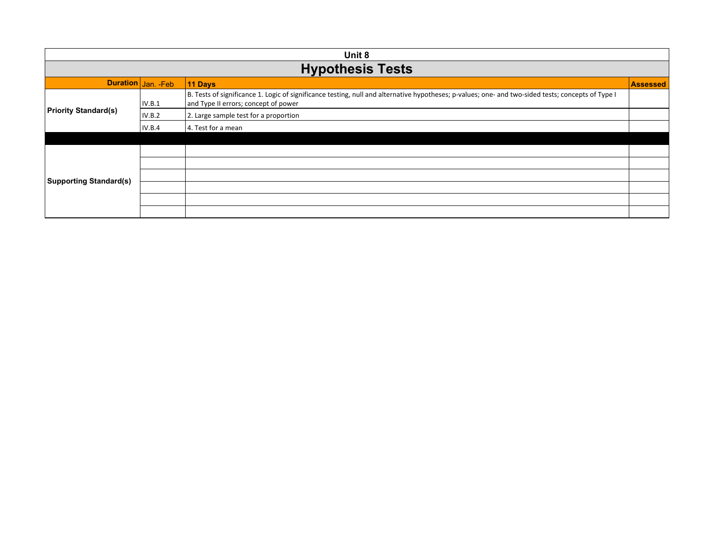| Unit 8                        |                         |                                                                                                                                                                                            |                 |  |
|-------------------------------|-------------------------|--------------------------------------------------------------------------------------------------------------------------------------------------------------------------------------------|-----------------|--|
|                               | <b>Hypothesis Tests</b> |                                                                                                                                                                                            |                 |  |
|                               | Duration Jan. - Feb     | 11 Days                                                                                                                                                                                    | <b>Assessed</b> |  |
|                               | IV.B.1                  | B. Tests of significance 1. Logic of significance testing, null and alternative hypotheses; p-values; one- and two-sided tests; concepts of Type I<br>and Type II errors; concept of power |                 |  |
| <b>Priority Standard(s)</b>   | IV.B.2                  | 2. Large sample test for a proportion                                                                                                                                                      |                 |  |
|                               | IV.B.4                  | 4. Test for a mean                                                                                                                                                                         |                 |  |
|                               |                         |                                                                                                                                                                                            |                 |  |
|                               |                         |                                                                                                                                                                                            |                 |  |
|                               |                         |                                                                                                                                                                                            |                 |  |
| <b>Supporting Standard(s)</b> |                         |                                                                                                                                                                                            |                 |  |
|                               |                         |                                                                                                                                                                                            |                 |  |
|                               |                         |                                                                                                                                                                                            |                 |  |
|                               |                         |                                                                                                                                                                                            |                 |  |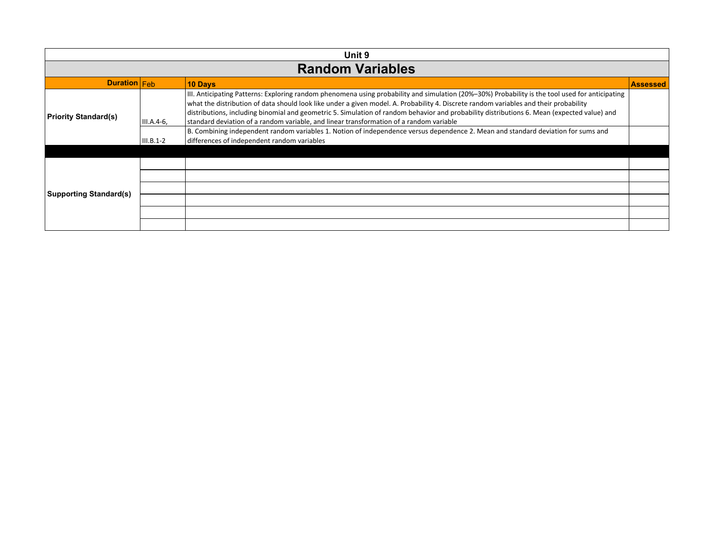| Unit 9                        |              |                                                                                                                                                                                                                                                                                                                                                                                                                                                                                                                                    |                 |  |
|-------------------------------|--------------|------------------------------------------------------------------------------------------------------------------------------------------------------------------------------------------------------------------------------------------------------------------------------------------------------------------------------------------------------------------------------------------------------------------------------------------------------------------------------------------------------------------------------------|-----------------|--|
|                               |              | <b>Random Variables</b>                                                                                                                                                                                                                                                                                                                                                                                                                                                                                                            |                 |  |
| <b>Duration</b> Feb           |              | <b>10 Days</b>                                                                                                                                                                                                                                                                                                                                                                                                                                                                                                                     | <b>Assessed</b> |  |
| <b>Priority Standard(s)</b>   | $III.A.4-6,$ | III. Anticipating Patterns: Exploring random phenomena using probability and simulation (20%-30%) Probability is the tool used for anticipating<br>what the distribution of data should look like under a given model. A. Probability 4. Discrete random variables and their probability<br>distributions, including binomial and geometric 5. Simulation of random behavior and probability distributions 6. Mean (expected value) and<br>standard deviation of a random variable, and linear transformation of a random variable |                 |  |
|                               | $III.B.1-2$  | B. Combining independent random variables 1. Notion of independence versus dependence 2. Mean and standard deviation for sums and<br>differences of independent random variables                                                                                                                                                                                                                                                                                                                                                   |                 |  |
|                               |              |                                                                                                                                                                                                                                                                                                                                                                                                                                                                                                                                    |                 |  |
|                               |              |                                                                                                                                                                                                                                                                                                                                                                                                                                                                                                                                    |                 |  |
|                               |              |                                                                                                                                                                                                                                                                                                                                                                                                                                                                                                                                    |                 |  |
| <b>Supporting Standard(s)</b> |              |                                                                                                                                                                                                                                                                                                                                                                                                                                                                                                                                    |                 |  |
|                               |              |                                                                                                                                                                                                                                                                                                                                                                                                                                                                                                                                    |                 |  |
|                               |              |                                                                                                                                                                                                                                                                                                                                                                                                                                                                                                                                    |                 |  |
|                               |              |                                                                                                                                                                                                                                                                                                                                                                                                                                                                                                                                    |                 |  |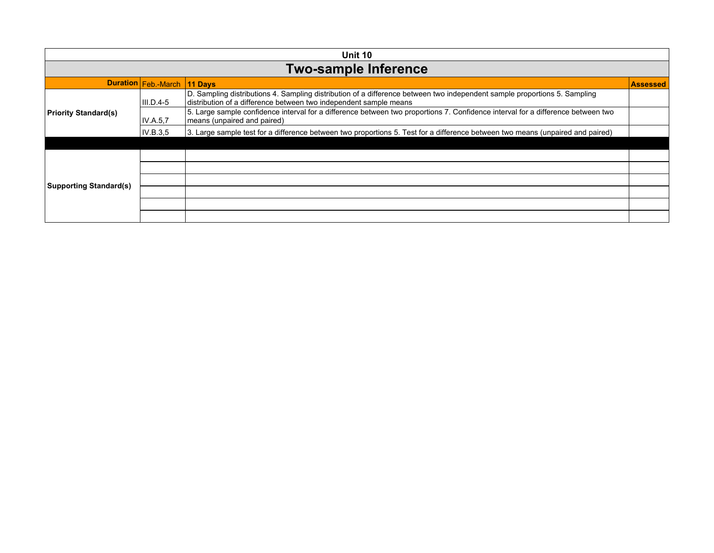| Unit 10                       |                             |                                                                                                                                                                                                |                 |
|-------------------------------|-----------------------------|------------------------------------------------------------------------------------------------------------------------------------------------------------------------------------------------|-----------------|
|                               |                             | <b>Two-sample Inference</b>                                                                                                                                                                    |                 |
|                               | Duration Feb.-March 11 Days |                                                                                                                                                                                                | <b>Assessed</b> |
|                               | $III.D.4-5$                 | D. Sampling distributions 4. Sampling distribution of a difference between two independent sample proportions 5. Sampling<br>distribution of a difference between two independent sample means |                 |
| <b>Priority Standard(s)</b>   | IV.A.5.7                    | 5. Large sample confidence interval for a difference between two proportions 7. Confidence interval for a difference between two<br>means (unpaired and paired)                                |                 |
|                               | IV.B.3,5                    | 3. Large sample test for a difference between two proportions 5. Test for a difference between two means (unpaired and paired)                                                                 |                 |
|                               |                             |                                                                                                                                                                                                |                 |
|                               |                             |                                                                                                                                                                                                |                 |
|                               |                             |                                                                                                                                                                                                |                 |
| <b>Supporting Standard(s)</b> |                             |                                                                                                                                                                                                |                 |
|                               |                             |                                                                                                                                                                                                |                 |
|                               |                             |                                                                                                                                                                                                |                 |
|                               |                             |                                                                                                                                                                                                |                 |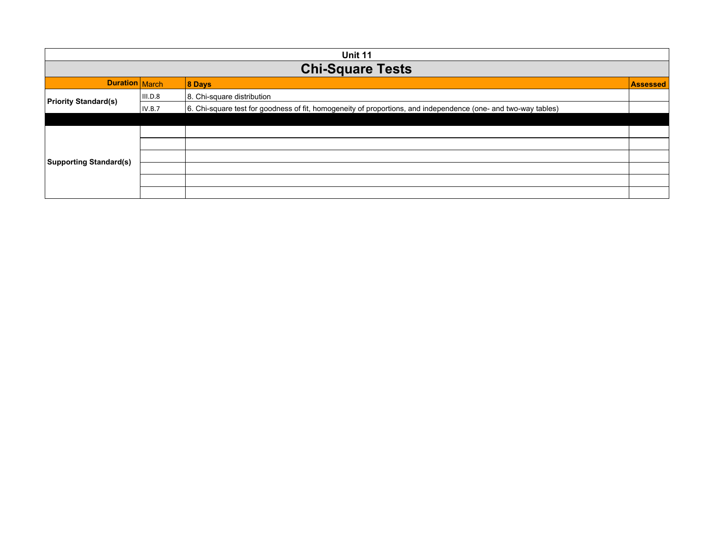| Unit 11                       |                                             |                                                                                                                |  |  |  |
|-------------------------------|---------------------------------------------|----------------------------------------------------------------------------------------------------------------|--|--|--|
|                               | <b>Chi-Square Tests</b>                     |                                                                                                                |  |  |  |
|                               | Duration March<br>8 Days<br><b>Assessed</b> |                                                                                                                |  |  |  |
| <b>Priority Standard(s)</b>   | III.D.8                                     | 8. Chi-square distribution                                                                                     |  |  |  |
|                               | IV.B.7                                      | 6. Chi-square test for goodness of fit, homogeneity of proportions, and independence (one- and two-way tables) |  |  |  |
|                               |                                             |                                                                                                                |  |  |  |
|                               |                                             |                                                                                                                |  |  |  |
|                               |                                             |                                                                                                                |  |  |  |
| <b>Supporting Standard(s)</b> |                                             |                                                                                                                |  |  |  |
|                               |                                             |                                                                                                                |  |  |  |
|                               |                                             |                                                                                                                |  |  |  |
|                               |                                             |                                                                                                                |  |  |  |